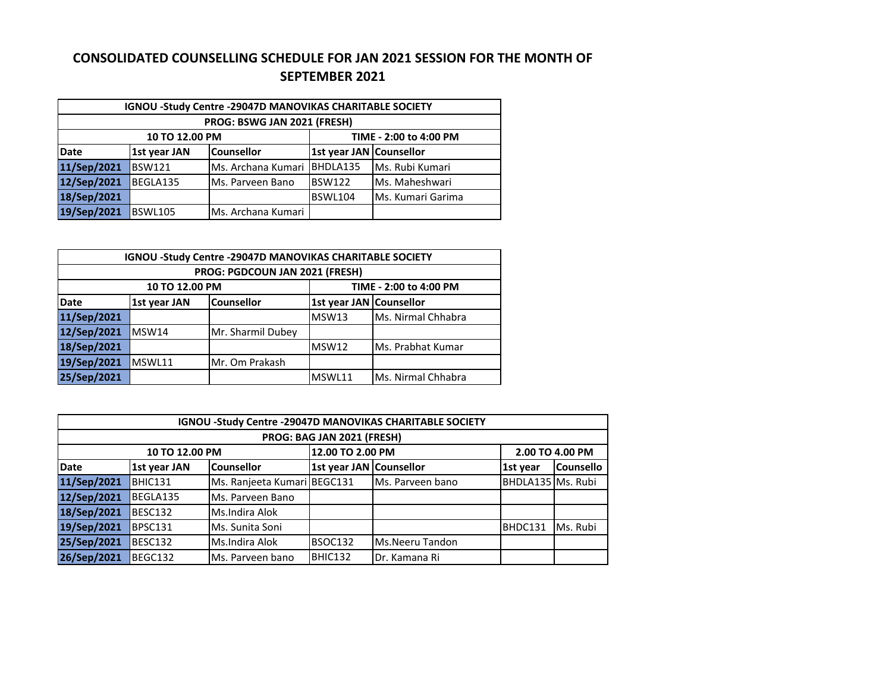## **CONSOLIDATED COUNSELLING SCHEDULE FOR JAN 2021 SESSION FOR THE MONTH OF SEPTEMBER 2021**

| <b>IGNOU -Study Centre -29047D MANOVIKAS CHARITABLE SOCIETY</b> |                                          |                          |                                |                          |  |  |  |
|-----------------------------------------------------------------|------------------------------------------|--------------------------|--------------------------------|--------------------------|--|--|--|
| PROG: BSWG JAN 2021 (FRESH)                                     |                                          |                          |                                |                          |  |  |  |
|                                                                 | TIME - 2:00 to 4:00 PM<br>10 TO 12.00 PM |                          |                                |                          |  |  |  |
| Date                                                            | 1st year JAN                             | <b>Counsellor</b>        | <b>1st year JAN Counsellor</b> |                          |  |  |  |
| 11/Sep/2021                                                     | <b>BSW121</b>                            | Ms. Archana Kumari       | BHDLA135                       | Ms. Rubi Kumari          |  |  |  |
| 12/Sep/2021                                                     | BEGLA135                                 | <b>IMs. Parveen Bano</b> | <b>BSW122</b>                  | Ms. Maheshwari           |  |  |  |
| 18/Sep/2021                                                     |                                          |                          | BSWL104                        | <b>Ms. Kumari Garima</b> |  |  |  |
| 19/Sep/2021                                                     | <b>BSWL105</b>                           | Ms. Archana Kumari       |                                |                          |  |  |  |

| <b>IGNOU -Study Centre -29047D MANOVIKAS CHARITABLE SOCIETY</b> |                                          |                   |                         |                    |  |  |  |
|-----------------------------------------------------------------|------------------------------------------|-------------------|-------------------------|--------------------|--|--|--|
| <b>PROG: PGDCOUN JAN 2021 (FRESH)</b>                           |                                          |                   |                         |                    |  |  |  |
|                                                                 | 10 TO 12.00 PM<br>TIME - 2:00 to 4:00 PM |                   |                         |                    |  |  |  |
| Date                                                            | 1st year JAN                             | <b>Counsellor</b> | 1st year JAN Counsellor |                    |  |  |  |
| 11/Sep/2021                                                     |                                          |                   | MSW13                   | Ms. Nirmal Chhabra |  |  |  |
| 12/Sep/2021                                                     | MSW14                                    | Mr. Sharmil Dubey |                         |                    |  |  |  |
| 18/Sep/2021                                                     |                                          |                   | MSW12                   | Ms. Prabhat Kumar  |  |  |  |
| 19/Sep/2021                                                     | MSWL11                                   | Mr. Om Prakash    |                         |                    |  |  |  |
| 25/Sep/2021                                                     |                                          |                   | MSWL11                  | Ms. Nirmal Chhabra |  |  |  |

| <b>IGNOU -Study Centre -29047D MANOVIKAS CHARITABLE SOCIETY</b> |                |                             |                         |                  |                   |                  |  |  |
|-----------------------------------------------------------------|----------------|-----------------------------|-------------------------|------------------|-------------------|------------------|--|--|
| PROG: BAG JAN 2021 (FRESH)                                      |                |                             |                         |                  |                   |                  |  |  |
|                                                                 | 10 TO 12.00 PM |                             | 12.00 TO 2.00 PM        |                  |                   | 2.00 TO 4.00 PM  |  |  |
| <b>Date</b>                                                     | 1st year JAN   | <b>Counsellor</b>           | 1st year JAN Counsellor |                  | 1st year          | <b>Counsello</b> |  |  |
| 11/Sep/2021                                                     | BHIC131        | Ms. Ranjeeta Kumari BEGC131 |                         | Ms. Parveen bano | BHDLA135 Ms. Rubi |                  |  |  |
| 12/Sep/2021                                                     | BEGLA135       | Ms. Parveen Bano            |                         |                  |                   |                  |  |  |
| 18/Sep/2021                                                     | BESC132        | Ms.Indira Alok              |                         |                  |                   |                  |  |  |
| 19/Sep/2021                                                     | BPSC131        | Ms. Sunita Soni             |                         |                  | BHDC131           | Ms. Rubi         |  |  |
| 25/Sep/2021                                                     | BESC132        | Ms.Indira Alok              | BSOC132                 | Ms.Neeru Tandon  |                   |                  |  |  |
| 26/Sep/2021                                                     | BEGC132        | Ms. Parveen bano            | BHIC132                 | Dr. Kamana Ri    |                   |                  |  |  |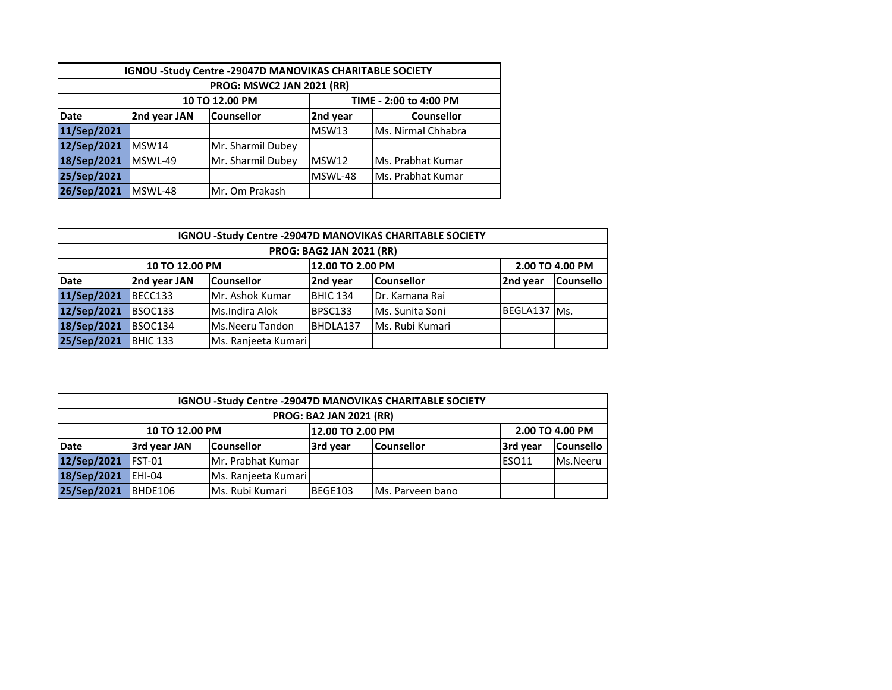| IGNOU -Study Centre -29047D MANOVIKAS CHARITABLE SOCIETY |                                          |                                                    |         |                    |  |  |  |
|----------------------------------------------------------|------------------------------------------|----------------------------------------------------|---------|--------------------|--|--|--|
| <b>PROG: MSWC2 JAN 2021 (RR)</b>                         |                                          |                                                    |         |                    |  |  |  |
|                                                          | 10 TO 12.00 PM<br>TIME - 2:00 to 4:00 PM |                                                    |         |                    |  |  |  |
| <b>Date</b>                                              | 2nd year JAN                             | <b>Counsellor</b><br>2nd year<br><b>Counsellor</b> |         |                    |  |  |  |
| 11/Sep/2021                                              |                                          |                                                    | MSW13   | Ms. Nirmal Chhabra |  |  |  |
| 12/Sep/2021                                              | MSW14                                    | Mr. Sharmil Dubey                                  |         |                    |  |  |  |
| 18/Sep/2021                                              | MSWL-49                                  | Mr. Sharmil Dubey                                  | MSW12   | Ms. Prabhat Kumar  |  |  |  |
| 25/Sep/2021                                              |                                          |                                                    | MSWL-48 | Ms. Prabhat Kumar  |  |  |  |
| 26/Sep/2021                                              | MSWL-48                                  | Mr. Om Prakash                                     |         |                    |  |  |  |

|             | <b>IGNOU -Study Centre -29047D MANOVIKAS CHARITABLE SOCIETY</b> |                     |                  |                        |                 |                  |  |  |
|-------------|-----------------------------------------------------------------|---------------------|------------------|------------------------|-----------------|------------------|--|--|
|             | <b>PROG: BAG2 JAN 2021 (RR)</b>                                 |                     |                  |                        |                 |                  |  |  |
|             | 10 TO 12.00 PM                                                  |                     | 12.00 TO 2.00 PM |                        | 2.00 TO 4.00 PM |                  |  |  |
| Date        | 2nd year JAN                                                    | <b>Counsellor</b>   | 2nd year         | <b>Counsellor</b>      | 2nd year        | <b>Counsello</b> |  |  |
| 11/Sep/2021 | BECC133                                                         | Mr. Ashok Kumar     | <b>BHIC 134</b>  | <b>IDr. Kamana Rai</b> |                 |                  |  |  |
| 12/Sep/2021 | BSOC133                                                         | Ms.Indira Alok      | <b>BPSC133</b>   | Ms. Sunita Soni        | BEGLA137 Ms.    |                  |  |  |
| 18/Sep/2021 | BSOC134                                                         | Ms.Neeru Tandon     | BHDLA137         | Ms. Rubi Kumari        |                 |                  |  |  |
| 25/Sep/2021 | BHIC 133                                                        | Ms. Ranjeeta Kumari |                  |                        |                 |                  |  |  |

| <b>IGNOU -Study Centre -29047D MANOVIKAS CHARITABLE SOCIETY</b> |              |                     |          |                   |              |                  |  |
|-----------------------------------------------------------------|--------------|---------------------|----------|-------------------|--------------|------------------|--|
| <b>PROG: BA2 JAN 2021 (RR)</b>                                  |              |                     |          |                   |              |                  |  |
| 12.00 TO 2.00 PM<br>10 TO 12.00 PM                              |              |                     |          |                   |              | 2.00 TO 4.00 PM  |  |
| Date                                                            | 3rd year JAN | <b>Counsellor</b>   | 3rd year | <b>Counsellor</b> | 3rd year     | <b>Counsello</b> |  |
| 12/Sep/2021                                                     | $IFST-01$    | Mr. Prabhat Kumar   |          |                   | <b>ESO11</b> | Ms.Neeru         |  |
| 18/Sep/2021                                                     | $EHI-04$     | Ms. Ranjeeta Kumari |          |                   |              |                  |  |
| 25/Sep/2021                                                     | BHDE106      | Ms. Rubi Kumari     | BEGE103  | IMs. Parveen bano |              |                  |  |